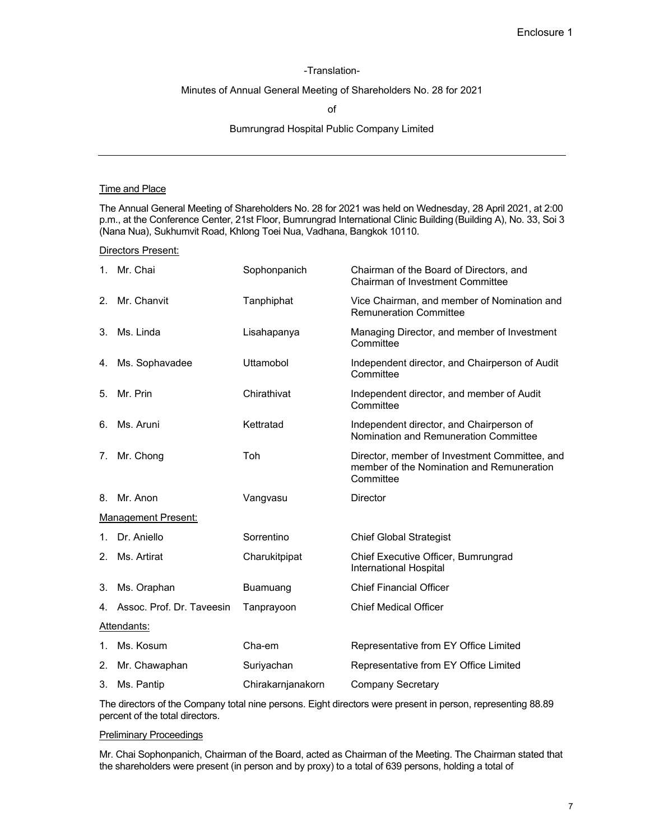## -Translation-

## Minutes of Annual General Meeting of Shareholders No. 28 for 2021

of

## Bumrungrad Hospital Public Company Limited

## Time and Place

The Annual General Meeting of Shareholders No. 28 for 2021 was held on Wednesday, 28 April 2021, at 2:00 p.m., at the Conference Center, 21st Floor, Bumrungrad International Clinic Building (Building A), No. 33, Soi 3 (Nana Nua), Sukhumvit Road, Khlong Toei Nua, Vadhana, Bangkok 10110.

Directors Present:

|                | 1. Mr. Chai                  | Sophonpanich      | Chairman of the Board of Directors, and<br>Chairman of Investment Committee                             |
|----------------|------------------------------|-------------------|---------------------------------------------------------------------------------------------------------|
| 2 <sub>1</sub> | Mr. Chanvit                  | Tanphiphat        | Vice Chairman, and member of Nomination and<br><b>Remuneration Committee</b>                            |
| 3.             | Ms. Linda                    | Lisahapanya       | Managing Director, and member of Investment<br>Committee                                                |
| 4.             | Ms. Sophavadee               | <b>Uttamobol</b>  | Independent director, and Chairperson of Audit<br>Committee                                             |
| 5.             | Mr. Prin                     | Chirathivat       | Independent director, and member of Audit<br>Committee                                                  |
| 6.             | Ms. Aruni                    | Kettratad         | Independent director, and Chairperson of<br>Nomination and Remuneration Committee                       |
| 7.             | Mr. Chong                    | Toh               | Director, member of Investment Committee, and<br>member of the Nomination and Remuneration<br>Committee |
|                | 8. Mr. Anon                  | Vangvasu          | Director                                                                                                |
|                | <b>Management Present:</b>   |                   |                                                                                                         |
|                | 1. Dr. Aniello               | Sorrentino        | <b>Chief Global Strategist</b>                                                                          |
|                | 2. Ms. Artirat               | Charukitpipat     | Chief Executive Officer, Bumrungrad<br>International Hospital                                           |
| 3.             | Ms. Oraphan                  | Buamuang          | <b>Chief Financial Officer</b>                                                                          |
|                | 4. Assoc. Prof. Dr. Taveesin | Tanprayoon        | <b>Chief Medical Officer</b>                                                                            |
|                | Attendants:                  |                   |                                                                                                         |
|                | 1. Ms. Kosum                 | Cha-em            | Representative from EY Office Limited                                                                   |
|                | 2. Mr. Chawaphan             | Suriyachan        | Representative from EY Office Limited                                                                   |
| 3.             | Ms. Pantip                   | Chirakarnianakorn | <b>Company Secretary</b>                                                                                |

The directors of the Company total nine persons. Eight directors were present in person, representing 88.89 percent of the total directors.

# Preliminary Proceedings

Mr. Chai Sophonpanich, Chairman of the Board, acted as Chairman of the Meeting. The Chairman stated that the shareholders were present (in person and by proxy) to a total of 639 persons, holding a total of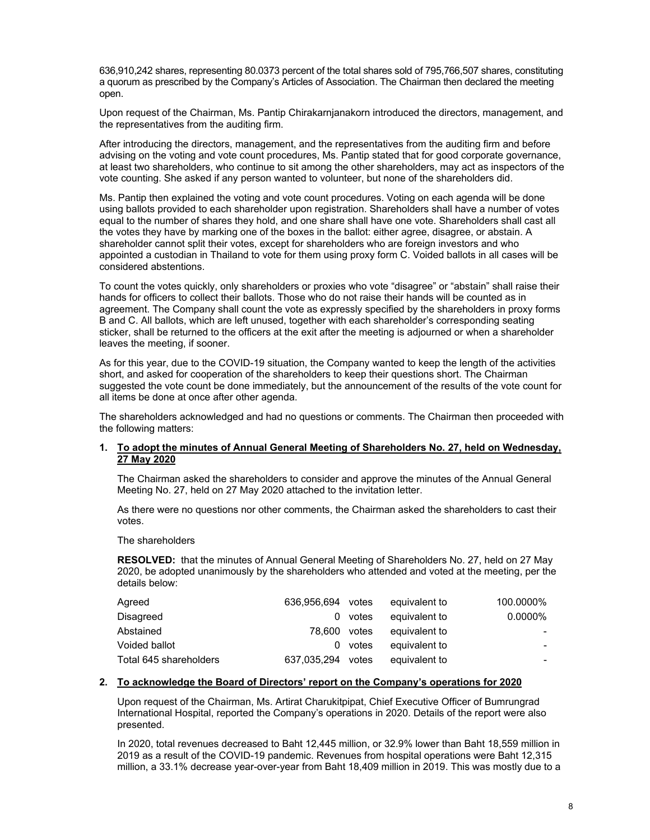636,910,242 shares, representing 80.0373 percent of the total shares sold of 795,766,507 shares, constituting a quorum as prescribed by the Company's Articles of Association. The Chairman then declared the meeting open.

Upon request of the Chairman, Ms. Pantip Chirakarnjanakorn introduced the directors, management, and the representatives from the auditing firm.

After introducing the directors, management, and the representatives from the auditing firm and before advising on the voting and vote count procedures, Ms. Pantip stated that for good corporate governance, at least two shareholders, who continue to sit among the other shareholders, may act as inspectors of the vote counting. She asked if any person wanted to volunteer, but none of the shareholders did.

Ms. Pantip then explained the voting and vote count procedures. Voting on each agenda will be done using ballots provided to each shareholder upon registration. Shareholders shall have a number of votes equal to the number of shares they hold, and one share shall have one vote. Shareholders shall cast all the votes they have by marking one of the boxes in the ballot: either agree, disagree, or abstain. A shareholder cannot split their votes, except for shareholders who are foreign investors and who appointed a custodian in Thailand to vote for them using proxy form C. Voided ballots in all cases will be considered abstentions.

To count the votes quickly, only shareholders or proxies who vote "disagree" or "abstain" shall raise their hands for officers to collect their ballots. Those who do not raise their hands will be counted as in agreement. The Company shall count the vote as expressly specified by the shareholders in proxy forms B and C. All ballots, which are left unused, together with each shareholder's corresponding seating sticker, shall be returned to the officers at the exit after the meeting is adjourned or when a shareholder leaves the meeting, if sooner.

As for this year, due to the COVID-19 situation, the Company wanted to keep the length of the activities short, and asked for cooperation of the shareholders to keep their questions short. The Chairman suggested the vote count be done immediately, but the announcement of the results of the vote count for all items be done at once after other agenda.

The shareholders acknowledged and had no questions or comments. The Chairman then proceeded with the following matters:

## **1. To adopt the minutes of Annual General Meeting of Shareholders No. 27, held on Wednesday, 27 May 2020**

The Chairman asked the shareholders to consider and approve the minutes of the Annual General Meeting No. 27, held on 27 May 2020 attached to the invitation letter.

As there were no questions nor other comments, the Chairman asked the shareholders to cast their votes.

The shareholders

**RESOLVED:** that the minutes of Annual General Meeting of Shareholders No. 27, held on 27 May 2020, be adopted unanimously by the shareholders who attended and voted at the meeting, per the details below:

| Agreed                 | 636.956.694 votes |         | equivalent to | 100.0000%  |
|------------------------|-------------------|---------|---------------|------------|
| Disagreed              | $\Omega$          | votes   | equivalent to | $0.0000\%$ |
| Abstained              | 78.600            | votes   | equivalent to |            |
| Voided ballot          |                   | 0 votes | equivalent to | -          |
| Total 645 shareholders | 637.035.294 votes |         | equivalent to | -          |

# **2. To acknowledge the Board of Directors' report on the Company's operations for 2020**

Upon request of the Chairman, Ms. Artirat Charukitpipat, Chief Executive Officer of Bumrungrad International Hospital, reported the Company's operations in 2020. Details of the report were also presented.

In 2020, total revenues decreased to Baht 12,445 million, or 32.9% lower than Baht 18,559 million in 2019 as a result of the COVID-19 pandemic. Revenues from hospital operations were Baht 12,315 million, a 33.1% decrease year-over-year from Baht 18,409 million in 2019. This was mostly due to a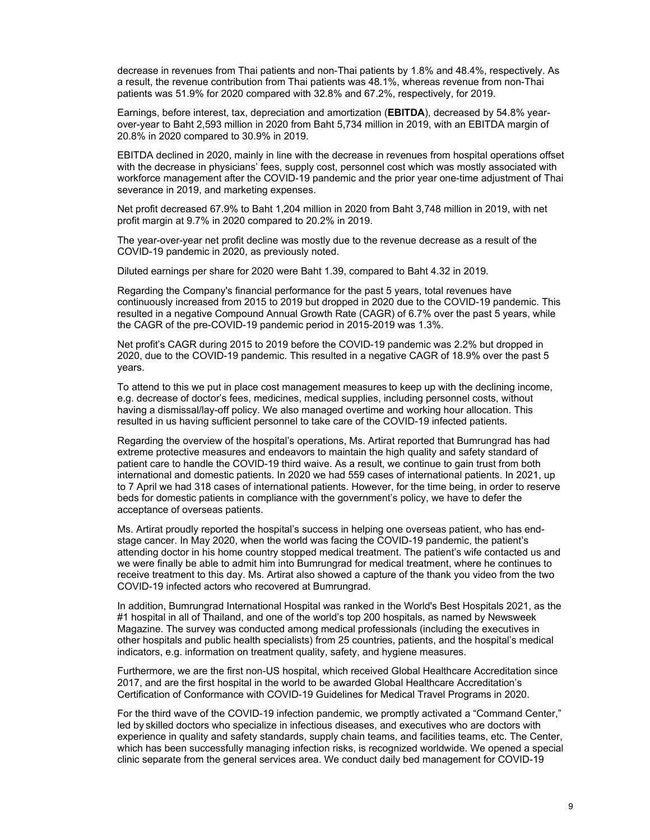decrease in revenues from Thai patients and non-Thai patients by 1.8% and 48.4%, respectively. As a result, the revenue contribution from Thai patients was 48.1%, whereas revenue from non-Thai patients was 51.9% for 2020 compared with 32.8% and 67.2%, respectively, for 2019.

Earnings, before interest, tax, depreciation and amortization (**EBITDA**), decreased by 54.8% yearover-year to Baht 2,593 million in 2020 from Baht 5,734 million in 2019, with an EBITDA margin of 20.8% in 2020 compared to 30.9% in 2019.

EBITDA declined in 2020, mainly in line with the decrease in revenues from hospital operations offset with the decrease in physicians' fees, supply cost, personnel cost which was mostly associated with workforce management after the COVID-19 pandemic and the prior year one-time adjustment of Thai severance in 2019, and marketing expenses.

Net profit decreased 67.9% to Baht 1,204 million in 2020 from Baht 3,748 million in 2019, with net profit margin at 9.7% in 2020 compared to 20.2% in 2019.

The year-over-year net profit decline was mostly due to the revenue decrease as a result of the COVID-19 pandemic in 2020, as previously noted.

Diluted earnings per share for 2020 were Baht 1.39, compared to Baht 4.32 in 2019.

Regarding the Company's financial performance for the past 5 years, total revenues have continuously increased from 2015 to 2019 but dropped in 2020 due to the COVID-19 pandemic. This resulted in a negative Compound Annual Growth Rate (CAGR) of 6.7% over the past 5 years, while the CAGR of the pre-COVID-19 pandemic period in 2015-2019 was 1.3%.

Net profit's CAGR during 2015 to 2019 before the COVID-19 pandemic was 2.2% but dropped in 2020, due to the COVID-19 pandemic. This resulted in a negative CAGR of 18.9% over the past 5 years.

To attend to this we put in place cost management measures to keep up with the declining income, e.g. decrease of doctor's fees, medicines, medical supplies, including personnel costs, without having a dismissal/lay-off policy. We also managed overtime and working hour allocation. This resulted in us having sufficient personnel to take care of the COVID-19 infected patients.

Regarding the overview of the hospital's operations, Ms. Artirat reported that Bumrungrad has had extreme protective measures and endeavors to maintain the high quality and safety standard of patient care to handle the COVID-19 third waive. As a result, we continue to gain trust from both international and domestic patients. In 2020 we had 559 cases of international patients. In 2021, up to 7 April we had 318 cases of international patients. However, for the time being, in order to reserve beds for domestic patients in compliance with the government's policy, we have to defer the acceptance of overseas patients.

Ms. Artirat proudly reported the hospital's success in helping one overseas patient, who has endstage cancer. In May 2020, when the world was facing the COVID-19 pandemic, the patient's attending doctor in his home country stopped medical treatment. The patient's wife contacted us and we were finally be able to admit him into Bumrungrad for medical treatment, where he continues to receive treatment to this day. Ms. Artirat also showed a capture of the thank you video from the two COVID-19 infected actors who recovered at Bumrungrad.

In addition, Bumrungrad International Hospital was ranked in the World's Best Hospitals 2021, as the #1 hospital in all of Thailand, and one of the world's top 200 hospitals, as named by Newsweek Magazine. The survey was conducted among medical professionals (including the executives in other hospitals and public health specialists) from 25 countries, patients, and the hospital's medical indicators, e.g. information on treatment quality, safety, and hygiene measures.

Furthermore, we are the first non-US hospital, which received Global Healthcare Accreditation since 2017, and are the first hospital in the world to be awarded Global Healthcare Accreditation's Certification of Conformance with COVID-19 Guidelines for Medical Travel Programs in 2020.

For the third wave of the COVID-19 infection pandemic, we promptly activated a "Command Center," led by skilled doctors who specialize in infectious diseases, and executives who are doctors with experience in quality and safety standards, supply chain teams, and facilities teams, etc. The Center, which has been successfully managing infection risks, is recognized worldwide. We opened a special clinic separate from the general services area. We conduct daily bed management for COVID-19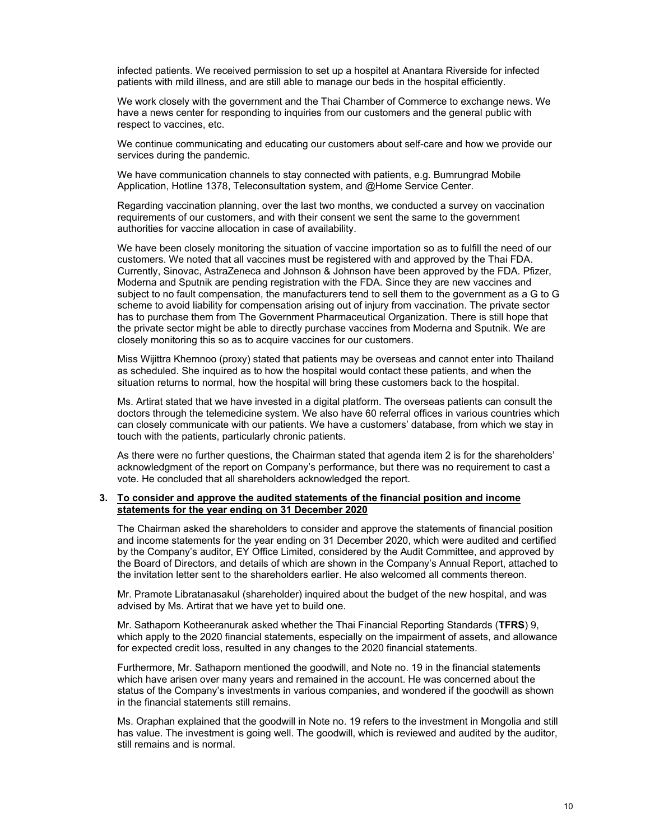infected patients. We received permission to set up a hospitel at Anantara Riverside for infected patients with mild illness, and are still able to manage our beds in the hospital efficiently.

We work closely with the government and the Thai Chamber of Commerce to exchange news. We have a news center for responding to inquiries from our customers and the general public with respect to vaccines, etc.

We continue communicating and educating our customers about self-care and how we provide our services during the pandemic.

We have communication channels to stay connected with patients, e.g. Bumrungrad Mobile Application, Hotline 1378, Teleconsultation system, and @Home Service Center.

Regarding vaccination planning, over the last two months, we conducted a survey on vaccination requirements of our customers, and with their consent we sent the same to the government authorities for vaccine allocation in case of availability.

We have been closely monitoring the situation of vaccine importation so as to fulfill the need of our customers. We noted that all vaccines must be registered with and approved by the Thai FDA. Currently, Sinovac, AstraZeneca and Johnson & Johnson have been approved by the FDA. Pfizer, Moderna and Sputnik are pending registration with the FDA. Since they are new vaccines and subject to no fault compensation, the manufacturers tend to sell them to the government as a G to G scheme to avoid liability for compensation arising out of injury from vaccination. The private sector has to purchase them from The Government Pharmaceutical Organization. There is still hope that the private sector might be able to directly purchase vaccines from Moderna and Sputnik. We are closely monitoring this so as to acquire vaccines for our customers.

Miss Wijittra Khemnoo (proxy) stated that patients may be overseas and cannot enter into Thailand as scheduled. She inquired as to how the hospital would contact these patients, and when the situation returns to normal, how the hospital will bring these customers back to the hospital.

Ms. Artirat stated that we have invested in a digital platform. The overseas patients can consult the doctors through the telemedicine system. We also have 60 referral offices in various countries which can closely communicate with our patients. We have a customers' database, from which we stay in touch with the patients, particularly chronic patients.

As there were no further questions, the Chairman stated that agenda item 2 is for the shareholders' acknowledgment of the report on Company's performance, but there was no requirement to cast a vote. He concluded that all shareholders acknowledged the report.

#### **3. To consider and approve the audited statements of the financial position and income statements for the year ending on 31 December 2020**

The Chairman asked the shareholders to consider and approve the statements of financial position and income statements for the year ending on 31 December 2020, which were audited and certified by the Company's auditor, EY Office Limited, considered by the Audit Committee, and approved by the Board of Directors, and details of which are shown in the Company's Annual Report, attached to the invitation letter sent to the shareholders earlier. He also welcomed all comments thereon.

Mr. Pramote Libratanasakul (shareholder) inquired about the budget of the new hospital, and was advised by Ms. Artirat that we have yet to build one.

Mr. Sathaporn Kotheeranurak asked whether the Thai Financial Reporting Standards (**TFRS**) 9, which apply to the 2020 financial statements, especially on the impairment of assets, and allowance for expected credit loss, resulted in any changes to the 2020 financial statements.

Furthermore, Mr. Sathaporn mentioned the goodwill, and Note no. 19 in the financial statements which have arisen over many years and remained in the account. He was concerned about the status of the Company's investments in various companies, and wondered if the goodwill as shown in the financial statements still remains.

Ms. Oraphan explained that the goodwill in Note no. 19 refers to the investment in Mongolia and still has value. The investment is going well. The goodwill, which is reviewed and audited by the auditor, still remains and is normal.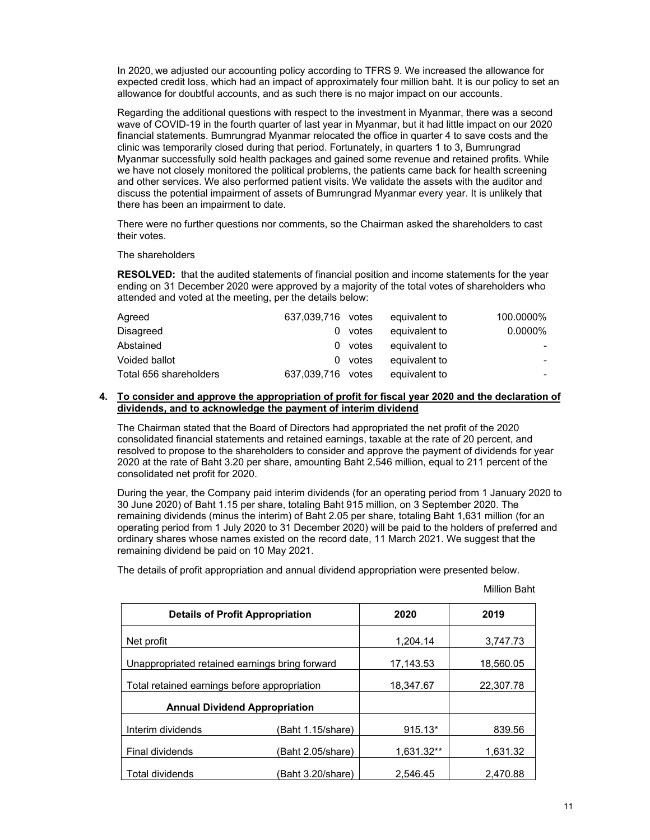In 2020, we adjusted our accounting policy according to TFRS 9. We increased the allowance for expected credit loss, which had an impact of approximately four million baht. It is our policy to set an allowance for doubtful accounts, and as such there is no major impact on our accounts.

Regarding the additional questions with respect to the investment in Myanmar, there was a second wave of COVID-19 in the fourth quarter of last year in Myanmar, but it had little impact on our 2020 financial statements. Bumrungrad Myanmar relocated the office in quarter 4 to save costs and the clinic was temporarily closed during that period. Fortunately, in quarters 1 to 3, Bumrungrad Myanmar successfully sold health packages and gained some revenue and retained profits. While we have not closely monitored the political problems, the patients came back for health screening and other services. We also performed patient visits. We validate the assets with the auditor and discuss the potential impairment of assets of Bumrungrad Myanmar every year. It is unlikely that there has been an impairment to date.

There were no further questions nor comments, so the Chairman asked the shareholders to cast their votes.

### The shareholders

**RESOLVED:** that the audited statements of financial position and income statements for the year ending on 31 December 2020 were approved by a majority of the total votes of shareholders who attended and voted at the meeting, per the details below:

| Agreed                 | 637.039.716 votes |         | equivalent to | 100.0000% |
|------------------------|-------------------|---------|---------------|-----------|
| Disagreed              |                   | 0 votes | equivalent to | 0.0000%   |
| Abstained              |                   | 0 votes | equivalent to |           |
| Voided ballot          |                   | 0 votes | equivalent to |           |
| Total 656 shareholders | 637.039.716 votes |         | equivalent to |           |

## **4. To consider and approve the appropriation of profit for fiscal year 2020 and the declaration of dividends, and to acknowledge the payment of interim dividend**

The Chairman stated that the Board of Directors had appropriated the net profit of the 2020 consolidated financial statements and retained earnings, taxable at the rate of 20 percent, and resolved to propose to the shareholders to consider and approve the payment of dividends for year 2020 at the rate of Baht 3.20 per share, amounting Baht 2,546 million, equal to 211 percent of the consolidated net profit for 2020.

During the year, the Company paid interim dividends (for an operating period from 1 January 2020 to 30 June 2020) of Baht 1.15 per share, totaling Baht 915 million, on 3 September 2020. The remaining dividends (minus the interim) of Baht 2.05 per share, totaling Baht 1,631 million (for an operating period from 1 July 2020 to 31 December 2020) will be paid to the holders of preferred and ordinary shares whose names existed on the record date, 11 March 2021. We suggest that the remaining dividend be paid on 10 May 2021.

The details of profit appropriation and annual dividend appropriation were presented below.

| <b>Details of Profit Appropriation</b>         |                   | 2020       | 2019      |
|------------------------------------------------|-------------------|------------|-----------|
| Net profit                                     |                   | 1.204.14   | 3,747.73  |
| Unappropriated retained earnings bring forward |                   | 17,143.53  | 18,560.05 |
| Total retained earnings before appropriation   |                   | 18,347.67  | 22,307.78 |
| <b>Annual Dividend Appropriation</b>           |                   |            |           |
| Interim dividends                              | (Baht 1.15/share) | $915.13*$  | 839.56    |
| Final dividends<br>(Baht 2.05/share)           |                   | 1,631.32** | 1,631.32  |
| <b>Total dividends</b><br>(Baht 3.20/share)    |                   | 2.546.45   | 2.470.88  |

Million Baht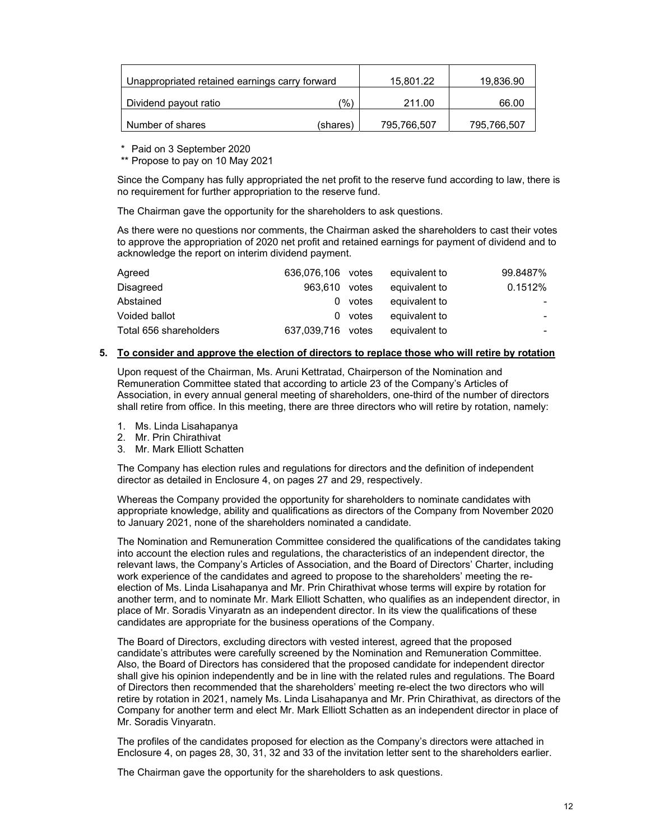| Unappropriated retained earnings carry forward |          | 15.801.22   | 19,836.90   |
|------------------------------------------------|----------|-------------|-------------|
| (%`<br>Dividend payout ratio                   |          | 211.00      | 66.00       |
| Number of shares                               | (shares) | 795,766,507 | 795,766,507 |

\* Paid on 3 September 2020

\*\* Propose to pay on 10 May 2021

Since the Company has fully appropriated the net profit to the reserve fund according to law, there is no requirement for further appropriation to the reserve fund.

The Chairman gave the opportunity for the shareholders to ask questions.

As there were no questions nor comments, the Chairman asked the shareholders to cast their votes to approve the appropriation of 2020 net profit and retained earnings for payment of dividend and to acknowledge the report on interim dividend payment.

| Agreed                 | 636,076,106 votes |         | equivalent to | 99.8487% |
|------------------------|-------------------|---------|---------------|----------|
| Disagreed              | 963.610           | votes   | equivalent to | 0.1512%  |
| Abstained              | 0                 | votes   | equivalent to |          |
| Voided ballot          |                   | 0 votes | equivalent to |          |
| Total 656 shareholders | 637,039,716 votes |         | equivalent to | -        |

### **5. To consider and approve the election of directors to replace those who will retire by rotation**

Upon request of the Chairman, Ms. Aruni Kettratad, Chairperson of the Nomination and Remuneration Committee stated that according to article 23 of the Company's Articles of Association, in every annual general meeting of shareholders, one-third of the number of directors shall retire from office. In this meeting, there are three directors who will retire by rotation, namely:

- 1. Ms. Linda Lisahapanya
- 2. Mr. Prin Chirathivat
- 3. Mr. Mark Elliott Schatten

The Company has election rules and regulations for directors and the definition of independent director as detailed in Enclosure 4, on pages 27 and 29, respectively.

Whereas the Company provided the opportunity for shareholders to nominate candidates with appropriate knowledge, ability and qualifications as directors of the Company from November 2020 to January 2021, none of the shareholders nominated a candidate.

The Nomination and Remuneration Committee considered the qualifications of the candidates taking into account the election rules and regulations, the characteristics of an independent director, the relevant laws, the Company's Articles of Association, and the Board of Directors' Charter, including work experience of the candidates and agreed to propose to the shareholders' meeting the reelection of Ms. Linda Lisahapanya and Mr. Prin Chirathivat whose terms will expire by rotation for another term, and to nominate Mr. Mark Elliott Schatten, who qualifies as an independent director, in place of Mr. Soradis Vinyaratn as an independent director. In its view the qualifications of these candidates are appropriate for the business operations of the Company.

The Board of Directors, excluding directors with vested interest, agreed that the proposed candidate's attributes were carefully screened by the Nomination and Remuneration Committee. Also, the Board of Directors has considered that the proposed candidate for independent director shall give his opinion independently and be in line with the related rules and regulations. The Board of Directors then recommended that the shareholders' meeting re-elect the two directors who will retire by rotation in 2021, namely Ms. Linda Lisahapanya and Mr. Prin Chirathivat, as directors of the Company for another term and elect Mr. Mark Elliott Schatten as an independent director in place of Mr. Soradis Vinyaratn.

The profiles of the candidates proposed for election as the Company's directors were attached in Enclosure 4, on pages 28, 30, 31, 32 and 33 of the invitation letter sent to the shareholders earlier.

The Chairman gave the opportunity for the shareholders to ask questions.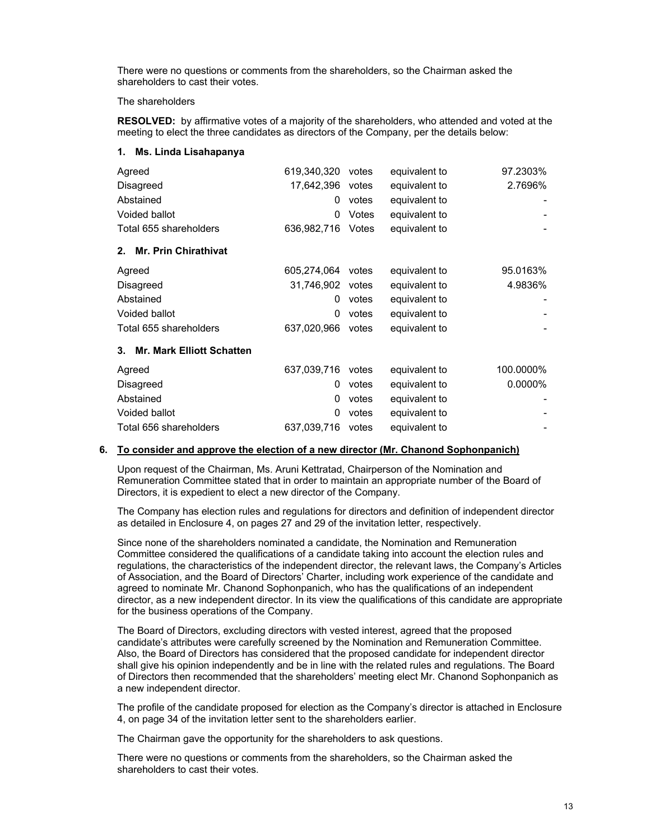There were no questions or comments from the shareholders, so the Chairman asked the shareholders to cast their votes.

### The shareholders

**RESOLVED:** by affirmative votes of a majority of the shareholders, who attended and voted at the meeting to elect the three candidates as directors of the Company, per the details below:

#### **1. Ms. Linda Lisahapanya**

| Agreed                                 | 619,340,320 | votes | equivalent to | 97.2303%  |
|----------------------------------------|-------------|-------|---------------|-----------|
| Disagreed                              | 17,642,396  | votes | equivalent to | 2.7696%   |
| Abstained                              | 0           | votes | equivalent to |           |
| Voided ballot                          | 0           | Votes | equivalent to |           |
| Total 655 shareholders                 | 636,982,716 | Votes | equivalent to |           |
| <b>Mr. Prin Chirathivat</b><br>2.      |             |       |               |           |
| Agreed                                 | 605,274,064 | votes | equivalent to | 95.0163%  |
| Disagreed                              | 31,746,902  | votes | equivalent to | 4.9836%   |
| Abstained                              | 0           | votes | equivalent to |           |
| Voided ballot                          | 0           | votes | equivalent to |           |
| Total 655 shareholders                 | 637,020,966 | votes | equivalent to |           |
| <b>Mr. Mark Elliott Schatten</b><br>3. |             |       |               |           |
| Agreed                                 | 637,039,716 | votes | equivalent to | 100.0000% |
| Disagreed                              | 0           | votes | equivalent to | 0.0000%   |
| Abstained                              | 0           | votes | equivalent to |           |
| Voided ballot                          | 0           | votes | equivalent to |           |
| Total 656 shareholders                 | 637,039,716 | votes | equivalent to |           |

### **6. To consider and approve the election of a new director (Mr. Chanond Sophonpanich)**

Upon request of the Chairman, Ms. Aruni Kettratad, Chairperson of the Nomination and Remuneration Committee stated that in order to maintain an appropriate number of the Board of Directors, it is expedient to elect a new director of the Company.

The Company has election rules and regulations for directors and definition of independent director as detailed in Enclosure 4, on pages 27 and 29 of the invitation letter, respectively.

Since none of the shareholders nominated a candidate, the Nomination and Remuneration Committee considered the qualifications of a candidate taking into account the election rules and regulations, the characteristics of the independent director, the relevant laws, the Company's Articles of Association, and the Board of Directors' Charter, including work experience of the candidate and agreed to nominate Mr. Chanond Sophonpanich, who has the qualifications of an independent director, as a new independent director. In its view the qualifications of this candidate are appropriate for the business operations of the Company.

The Board of Directors, excluding directors with vested interest, agreed that the proposed candidate's attributes were carefully screened by the Nomination and Remuneration Committee. Also, the Board of Directors has considered that the proposed candidate for independent director shall give his opinion independently and be in line with the related rules and regulations. The Board of Directors then recommended that the shareholders' meeting elect Mr. Chanond Sophonpanich as a new independent director.

The profile of the candidate proposed for election as the Company's director is attached in Enclosure 4, on page 34 of the invitation letter sent to the shareholders earlier.

The Chairman gave the opportunity for the shareholders to ask questions.

There were no questions or comments from the shareholders, so the Chairman asked the shareholders to cast their votes.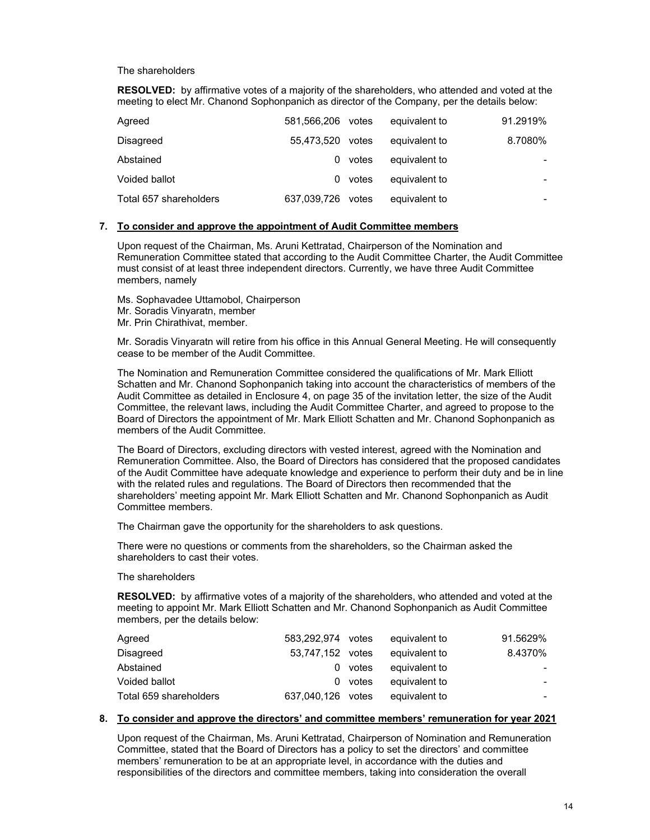### The shareholders

**RESOLVED:** by affirmative votes of a majority of the shareholders, who attended and voted at the meeting to elect Mr. Chanond Sophonpanich as director of the Company, per the details below:

| Agreed                 | 581,566,206       | votes | equivalent to | 91.2919% |
|------------------------|-------------------|-------|---------------|----------|
| Disagreed              | 55,473,520        | votes | equivalent to | 8.7080%  |
| Abstained              | 0                 | votes | equivalent to |          |
| Voided ballot          | 0                 | votes | equivalent to |          |
| Total 657 shareholders | 637,039,726 votes |       | equivalent to |          |

## **7. To consider and approve the appointment of Audit Committee members**

Upon request of the Chairman, Ms. Aruni Kettratad, Chairperson of the Nomination and Remuneration Committee stated that according to the Audit Committee Charter, the Audit Committee must consist of at least three independent directors. Currently, we have three Audit Committee members, namely

- Ms. Sophavadee Uttamobol, Chairperson
- Mr. Soradis Vinyaratn, member
- Mr. Prin Chirathivat, member.

Mr. Soradis Vinyaratn will retire from his office in this Annual General Meeting. He will consequently cease to be member of the Audit Committee.

The Nomination and Remuneration Committee considered the qualifications of Mr. Mark Elliott Schatten and Mr. Chanond Sophonpanich taking into account the characteristics of members of the Audit Committee as detailed in Enclosure 4, on page 35 of the invitation letter, the size of the Audit Committee, the relevant laws, including the Audit Committee Charter, and agreed to propose to the Board of Directors the appointment of Mr. Mark Elliott Schatten and Mr. Chanond Sophonpanich as members of the Audit Committee.

The Board of Directors, excluding directors with vested interest, agreed with the Nomination and Remuneration Committee. Also, the Board of Directors has considered that the proposed candidates of the Audit Committee have adequate knowledge and experience to perform their duty and be in line with the related rules and regulations. The Board of Directors then recommended that the shareholders' meeting appoint Mr. Mark Elliott Schatten and Mr. Chanond Sophonpanich as Audit Committee members.

The Chairman gave the opportunity for the shareholders to ask questions.

There were no questions or comments from the shareholders, so the Chairman asked the shareholders to cast their votes.

#### The shareholders

**RESOLVED:** by affirmative votes of a majority of the shareholders, who attended and voted at the meeting to appoint Mr. Mark Elliott Schatten and Mr. Chanond Sophonpanich as Audit Committee members, per the details below:

| Agreed                 | 583.292.974 votes |         | equivalent to | 91.5629% |
|------------------------|-------------------|---------|---------------|----------|
| Disagreed              | 53,747,152 votes  |         | equivalent to | 8.4370%  |
| Abstained              |                   | 0 votes | equivalent to |          |
| Voided ballot          |                   | 0 votes | equivalent to |          |
| Total 659 shareholders | 637.040.126 votes |         | equivalent to |          |

#### **8. To consider and approve the directors' and committee members' remuneration for year 2021**

Upon request of the Chairman, Ms. Aruni Kettratad, Chairperson of Nomination and Remuneration Committee, stated that the Board of Directors has a policy to set the directors' and committee members' remuneration to be at an appropriate level, in accordance with the duties and responsibilities of the directors and committee members, taking into consideration the overall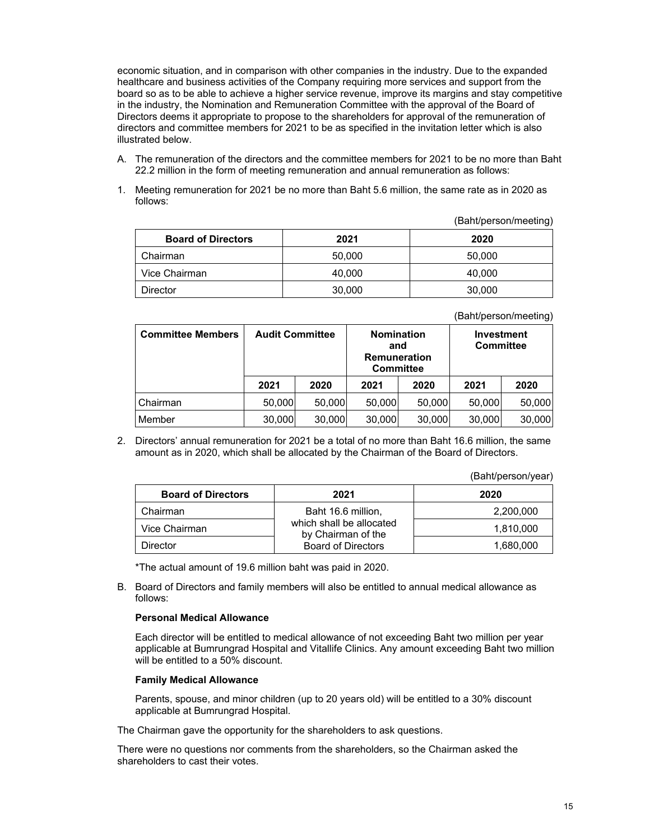economic situation, and in comparison with other companies in the industry. Due to the expanded healthcare and business activities of the Company requiring more services and support from the board so as to be able to achieve a higher service revenue, improve its margins and stay competitive in the industry, the Nomination and Remuneration Committee with the approval of the Board of Directors deems it appropriate to propose to the shareholders for approval of the remuneration of directors and committee members for 2021 to be as specified in the invitation letter which is also illustrated below.

- A. The remuneration of the directors and the committee members for 2021 to be no more than Baht 22.2 million in the form of meeting remuneration and annual remuneration as follows:
- 1. Meeting remuneration for 2021 be no more than Baht 5.6 million, the same rate as in 2020 as follows:

(Baht/person/meeting)

| <b>Board of Directors</b> | 2021   | 2020   |
|---------------------------|--------|--------|
| Chairman                  | 50,000 | 50,000 |
| Vice Chairman             | 40,000 | 40,000 |
| Director                  | 30,000 | 30,000 |

(Baht/person/meeting)

| <b>Committee Members</b> | <b>Audit Committee</b> |        | <b>Nomination</b><br>and<br><b>Remuneration</b><br><b>Committee</b> |        | <b>Investment</b><br><b>Committee</b> |        |
|--------------------------|------------------------|--------|---------------------------------------------------------------------|--------|---------------------------------------|--------|
|                          | 2021                   | 2020   | 2021                                                                | 2020   | 2021                                  | 2020   |
| Chairman                 | 50.000                 | 50,000 | 50,000                                                              | 50.000 | 50,000                                | 50,000 |
| Member                   | 30,000                 | 30,000 | 30,000                                                              | 30,000 | 30,000                                | 30,000 |

2. Directors' annual remuneration for 2021 be a total of no more than Baht 16.6 million, the same amount as in 2020, which shall be allocated by the Chairman of the Board of Directors.

|  | (Baht/person/year) |  |
|--|--------------------|--|
|  |                    |  |

| <b>Board of Directors</b> | 2021                                           | 2020      |
|---------------------------|------------------------------------------------|-----------|
| Chairman                  | Baht 16.6 million,                             | 2,200,000 |
| Vice Chairman             | which shall be allocated<br>by Chairman of the | 1.810.000 |
| Director                  | <b>Board of Directors</b>                      | 1,680,000 |

\*The actual amount of 19.6 million baht was paid in 2020.

B. Board of Directors and family members will also be entitled to annual medical allowance as follows:

#### **Personal Medical Allowance**

Each director will be entitled to medical allowance of not exceeding Baht two million per year applicable at Bumrungrad Hospital and Vitallife Clinics. Any amount exceeding Baht two million will be entitled to a 50% discount.

#### **Family Medical Allowance**

Parents, spouse, and minor children (up to 20 years old) will be entitled to a 30% discount applicable at Bumrungrad Hospital.

The Chairman gave the opportunity for the shareholders to ask questions.

There were no questions nor comments from the shareholders, so the Chairman asked the shareholders to cast their votes.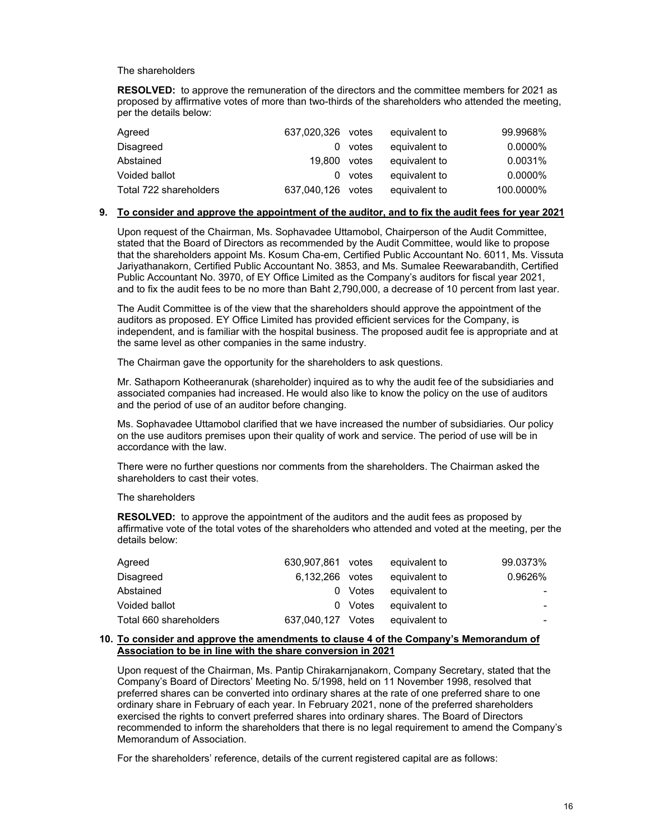### The shareholders

**RESOLVED:** to approve the remuneration of the directors and the committee members for 2021 as proposed by affirmative votes of more than two-thirds of the shareholders who attended the meeting, per the details below:

| Agreed                 | 637.020.326       | votes | equivalent to | 99.9968%   |
|------------------------|-------------------|-------|---------------|------------|
| Disagreed              | $\Omega$          | votes | equivalent to | $0.0000\%$ |
| Abstained              | 19.800            | votes | equivalent to | 0.0031%    |
| Voided ballot          | 0                 | votes | equivalent to | $0.0000\%$ |
| Total 722 shareholders | 637.040.126 votes |       | equivalent to | 100.0000%  |

#### **9. To consider and approve the appointment of the auditor, and to fix the audit fees for year 2021**

Upon request of the Chairman, Ms. Sophavadee Uttamobol, Chairperson of the Audit Committee, stated that the Board of Directors as recommended by the Audit Committee, would like to propose that the shareholders appoint Ms. Kosum Cha-em, Certified Public Accountant No. 6011, Ms. Vissuta Jariyathanakorn, Certified Public Accountant No. 3853, and Ms. Sumalee Reewarabandith, Certified Public Accountant No. 3970, of EY Office Limited as the Company's auditors for fiscal year 2021, and to fix the audit fees to be no more than Baht 2,790,000, a decrease of 10 percent from last year.

The Audit Committee is of the view that the shareholders should approve the appointment of the auditors as proposed. EY Office Limited has provided efficient services for the Company, is independent, and is familiar with the hospital business. The proposed audit fee is appropriate and at the same level as other companies in the same industry.

The Chairman gave the opportunity for the shareholders to ask questions.

Mr. Sathaporn Kotheeranurak (shareholder) inquired as to why the audit fee of the subsidiaries and associated companies had increased. He would also like to know the policy on the use of auditors and the period of use of an auditor before changing.

Ms. Sophavadee Uttamobol clarified that we have increased the number of subsidiaries. Our policy on the use auditors premises upon their quality of work and service. The period of use will be in accordance with the law.

There were no further questions nor comments from the shareholders. The Chairman asked the shareholders to cast their votes.

### The shareholders

**RESOLVED:** to approve the appointment of the auditors and the audit fees as proposed by affirmative vote of the total votes of the shareholders who attended and voted at the meeting, per the details below:

| Agreed                 | 630.907.861 votes |         | equivalent to | 99.0373% |
|------------------------|-------------------|---------|---------------|----------|
| Disagreed              | 6.132.266 votes   |         | equivalent to | 0.9626%  |
| Abstained              |                   | 0 Votes | equivalent to |          |
| Voided ballot          |                   | 0 Votes | equivalent to |          |
| Total 660 shareholders | 637.040.127 Votes |         | equivalent to |          |

### **10. To consider and approve the amendments to clause 4 of the Company's Memorandum of Association to be in line with the share conversion in 2021**

Upon request of the Chairman, Ms. Pantip Chirakarnjanakorn, Company Secretary, stated that the Company's Board of Directors' Meeting No. 5/1998, held on 11 November 1998, resolved that preferred shares can be converted into ordinary shares at the rate of one preferred share to one ordinary share in February of each year. In February 2021, none of the preferred shareholders exercised the rights to convert preferred shares into ordinary shares. The Board of Directors recommended to inform the shareholders that there is no legal requirement to amend the Company's Memorandum of Association.

For the shareholders' reference, details of the current registered capital are as follows: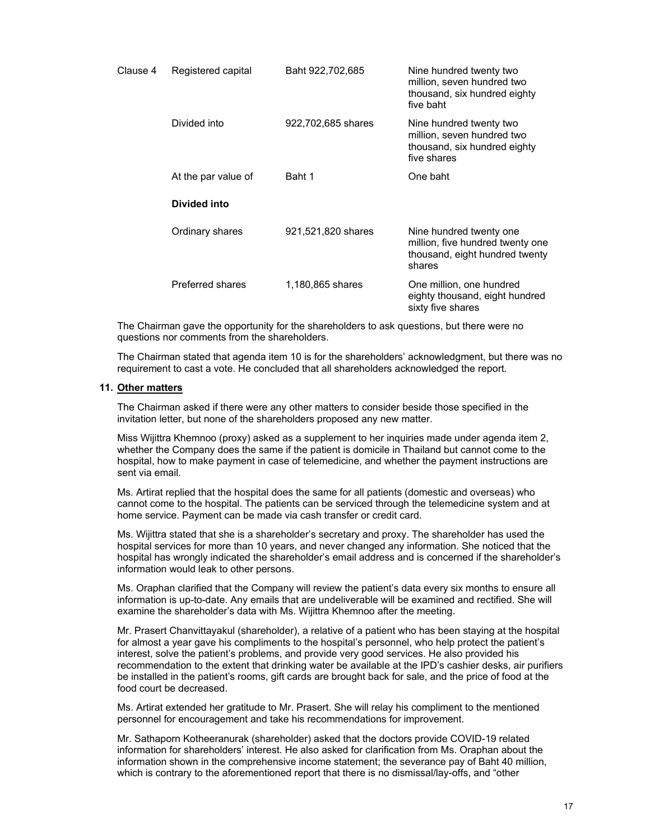| Clause 4 | Registered capital  | Baht 922,702,685   | Nine hundred twenty two<br>million, seven hundred two<br>thousand, six hundred eighty<br>five baht      |
|----------|---------------------|--------------------|---------------------------------------------------------------------------------------------------------|
|          | Divided into        | 922,702,685 shares | Nine hundred twenty two<br>million, seven hundred two<br>thousand, six hundred eighty<br>five shares    |
|          | At the par value of | Baht 1             | One baht                                                                                                |
|          | Divided into        |                    |                                                                                                         |
|          | Ordinary shares     | 921,521,820 shares | Nine hundred twenty one<br>million, five hundred twenty one<br>thousand, eight hundred twenty<br>shares |
|          | Preferred shares    | 1,180,865 shares   | One million, one hundred<br>eighty thousand, eight hundred<br>sixty five shares                         |

The Chairman gave the opportunity for the shareholders to ask questions, but there were no questions nor comments from the shareholders.

The Chairman stated that agenda item 10 is for the shareholders' acknowledgment, but there was no requirement to cast a vote. He concluded that all shareholders acknowledged the report.

#### **11. Other matters**

The Chairman asked if there were any other matters to consider beside those specified in the invitation letter, but none of the shareholders proposed any new matter.

Miss Wijittra Khemnoo (proxy) asked as a supplement to her inquiries made under agenda item 2, whether the Company does the same if the patient is domicile in Thailand but cannot come to the hospital, how to make payment in case of telemedicine, and whether the payment instructions are sent via email.

Ms. Artirat replied that the hospital does the same for all patients (domestic and overseas) who cannot come to the hospital. The patients can be serviced through the telemedicine system and at home service. Payment can be made via cash transfer or credit card.

Ms. Wijittra stated that she is a shareholder's secretary and proxy. The shareholder has used the hospital services for more than 10 years, and never changed any information. She noticed that the hospital has wrongly indicated the shareholder's email address and is concerned if the shareholder's information would leak to other persons.

Ms. Oraphan clarified that the Company will review the patient's data every six months to ensure all information is up-to-date. Any emails that are undeliverable will be examined and rectified. She will examine the shareholder's data with Ms. Wijittra Khemnoo after the meeting.

Mr. Prasert Chanvittayakul (shareholder), a relative of a patient who has been staying at the hospital for almost a year gave his compliments to the hospital's personnel, who help protect the patient's interest, solve the patient's problems, and provide very good services. He also provided his recommendation to the extent that drinking water be available at the IPD's cashier desks, air purifiers be installed in the patient's rooms, gift cards are brought back for sale, and the price of food at the food court be decreased.

Ms. Artirat extended her gratitude to Mr. Prasert. She will relay his compliment to the mentioned personnel for encouragement and take his recommendations for improvement.

Mr. Sathaporn Kotheeranurak (shareholder) asked that the doctors provide COVID-19 related information for shareholders' interest. He also asked for clarification from Ms. Oraphan about the information shown in the comprehensive income statement; the severance pay of Baht 40 million, which is contrary to the aforementioned report that there is no dismissal/lay-offs, and "other